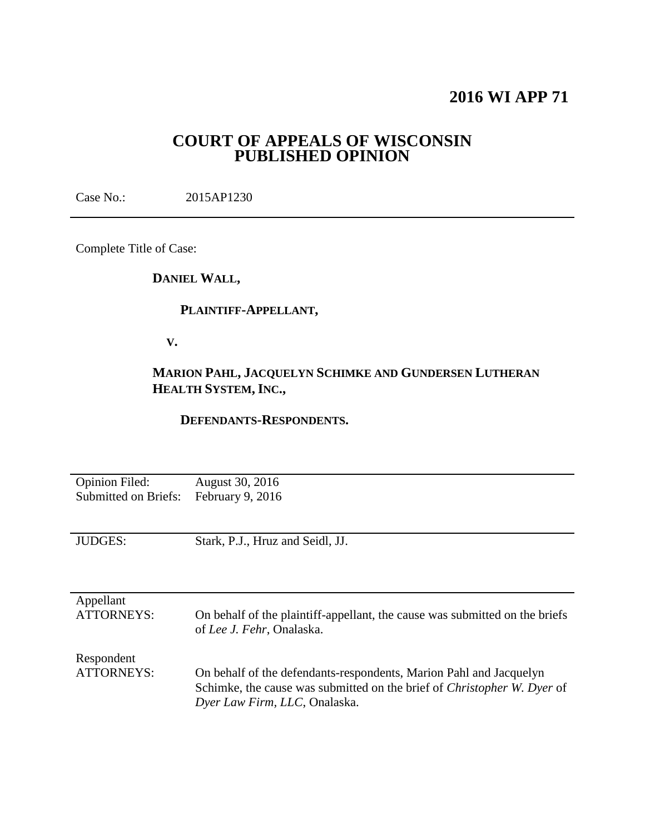# **2016 WI APP 71**

## **COURT OF APPEALS OF WISCONSIN PUBLISHED OPINION**

Case No.: 2015AP1230

Complete Title of Case:

**DANIEL WALL,**

## **PLAINTIFF-APPELLANT,**

 **V.**

## **MARION PAHL, JACQUELYN SCHIMKE AND GUNDERSEN LUTHERAN HEALTH SYSTEM, INC.,**

### **DEFENDANTS-RESPONDENTS.**

| <b>Opinion Filed:</b>           | August 30, 2016                                                                                                                                                                       |
|---------------------------------|---------------------------------------------------------------------------------------------------------------------------------------------------------------------------------------|
| <b>Submitted on Briefs:</b>     | February 9, 2016                                                                                                                                                                      |
| <b>JUDGES:</b>                  | Stark, P.J., Hruz and Seidl, JJ.                                                                                                                                                      |
| Appellant<br><b>ATTORNEYS:</b>  | On behalf of the plaintiff-appellant, the cause was submitted on the briefs<br>of Lee J. Fehr, Onalaska.                                                                              |
| Respondent<br><b>ATTORNEYS:</b> | On behalf of the defendants-respondents, Marion Pahl and Jacquelyn<br>Schimke, the cause was submitted on the brief of <i>Christopher W. Dyer</i> of<br>Dyer Law Firm, LLC, Onalaska. |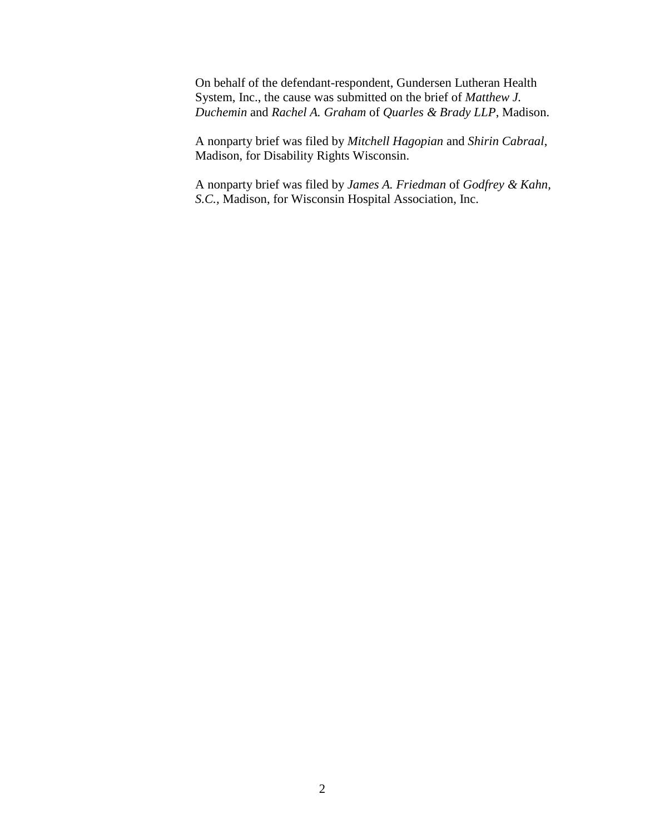On behalf of the defendant-respondent, Gundersen Lutheran Health System, Inc., the cause was submitted on the brief of *Matthew J. Duchemin* and *Rachel A. Graham* of *Quarles & Brady LLP*, Madison.

A nonparty brief was filed by *Mitchell Hagopian* and *Shirin Cabraal*, Madison, for Disability Rights Wisconsin.

A nonparty brief was filed by *James A. Friedman* of *Godfrey & Kahn, S.C.,* Madison, for Wisconsin Hospital Association, Inc.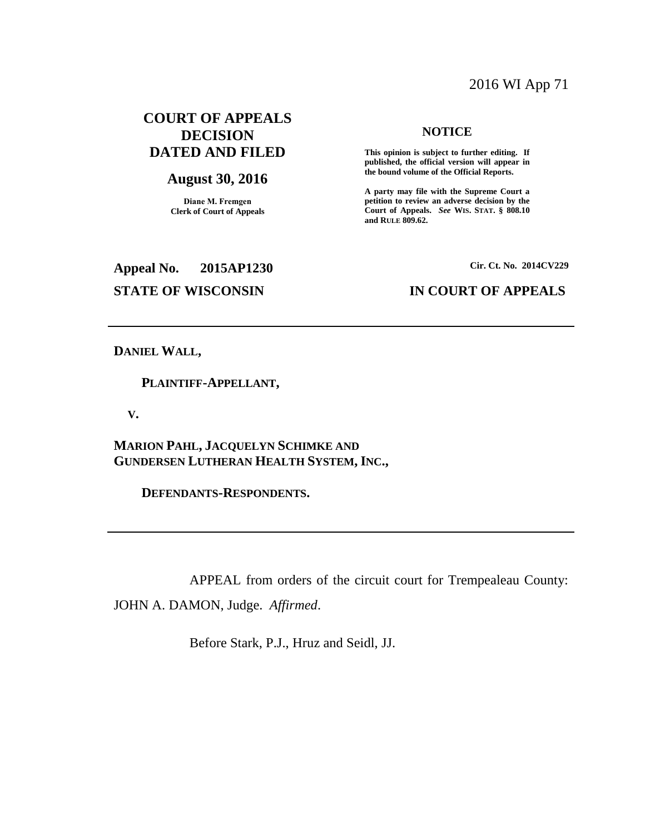## 2016 WI App 71

## **COURT OF APPEALS DECISION DATED AND FILED**

### **August 30, 2016**

**Diane M. Fremgen Clerk of Court of Appeals**

#### **NOTICE**

**This opinion is subject to further editing. If published, the official version will appear in the bound volume of the Official Reports.** 

**A party may file with the Supreme Court a petition to review an adverse decision by the Court of Appeals.** *See* **WIS. STAT. § 808.10 and RULE 809.62.** 

**Appeal No. 2015AP1230 Cir. Ct. No. 2014CV229 STATE OF WISCONSIN IN COURT OF APPEALS**

**DANIEL WALL,**

 **PLAINTIFF-APPELLANT,**

 **V.**

**MARION PAHL, JACQUELYN SCHIMKE AND GUNDERSEN LUTHERAN HEALTH SYSTEM, INC.,**

 **DEFENDANTS-RESPONDENTS.**

APPEAL from orders of the circuit court for Trempealeau County:

JOHN A. DAMON, Judge. *Affirmed*.

Before Stark, P.J., Hruz and Seidl, JJ.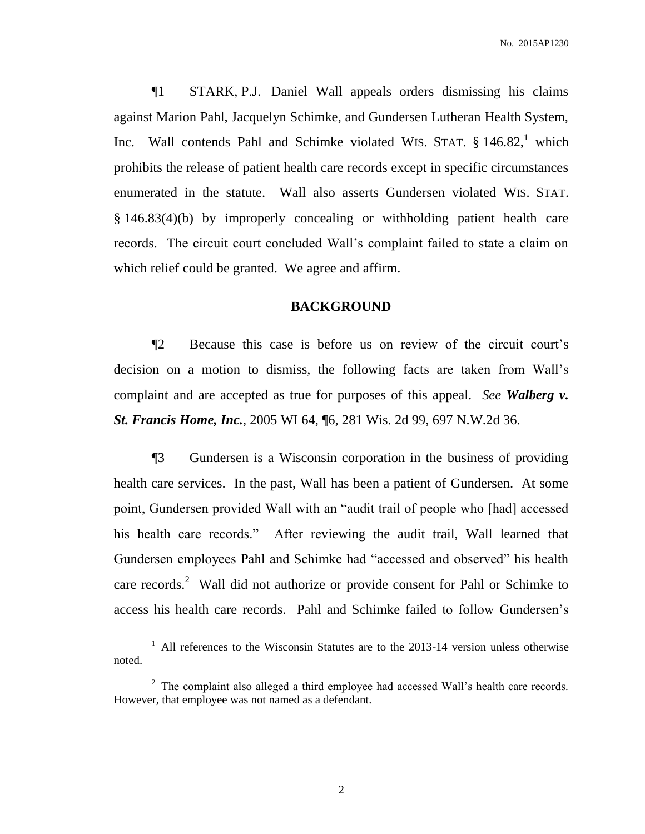¶1 STARK, P.J. Daniel Wall appeals orders dismissing his claims against Marion Pahl, Jacquelyn Schimke, and Gundersen Lutheran Health System, Inc. Wall contends Pahl and Schimke violated WIS. STAT.  $\S$  146.82,<sup>1</sup> which prohibits the release of patient health care records except in specific circumstances enumerated in the statute. Wall also asserts Gundersen violated WIS. STAT. § 146.83(4)(b) by improperly concealing or withholding patient health care records. The circuit court concluded Wall's complaint failed to state a claim on which relief could be granted. We agree and affirm.

#### **BACKGROUND**

¶2 Because this case is before us on review of the circuit court's decision on a motion to dismiss, the following facts are taken from Wall's complaint and are accepted as true for purposes of this appeal. *See Walberg v. St. Francis Home, Inc.*, 2005 WI 64, ¶6, 281 Wis. 2d 99, 697 N.W.2d 36.

¶3 Gundersen is a Wisconsin corporation in the business of providing health care services. In the past, Wall has been a patient of Gundersen. At some point, Gundersen provided Wall with an "audit trail of people who [had] accessed his health care records." After reviewing the audit trail, Wall learned that Gundersen employees Pahl and Schimke had "accessed and observed" his health care records.<sup>2</sup> Wall did not authorize or provide consent for Pahl or Schimke to access his health care records. Pahl and Schimke failed to follow Gundersen's

<sup>&</sup>lt;sup>1</sup> All references to the Wisconsin Statutes are to the 2013-14 version unless otherwise noted.

 $2^2$  The complaint also alleged a third employee had accessed Wall's health care records. However, that employee was not named as a defendant.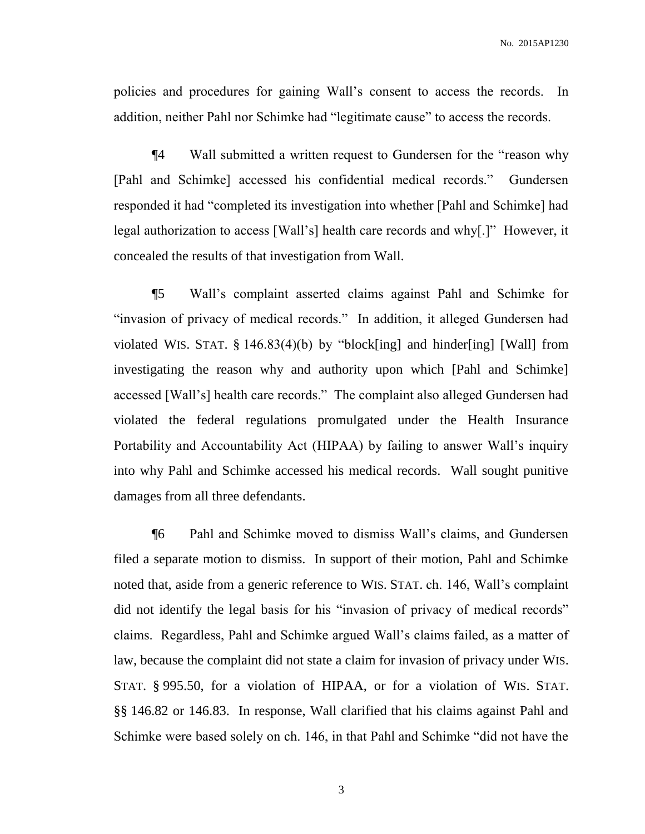policies and procedures for gaining Wall's consent to access the records. In addition, neither Pahl nor Schimke had "legitimate cause" to access the records.

¶4 Wall submitted a written request to Gundersen for the "reason why [Pahl and Schimke] accessed his confidential medical records." Gundersen responded it had "completed its investigation into whether [Pahl and Schimke] had legal authorization to access [Wall's] health care records and why[.]" However, it concealed the results of that investigation from Wall.

¶5 Wall's complaint asserted claims against Pahl and Schimke for "invasion of privacy of medical records." In addition, it alleged Gundersen had violated WIS. STAT. § 146.83(4)(b) by "block[ing] and hinder[ing] [Wall] from investigating the reason why and authority upon which [Pahl and Schimke] accessed [Wall's] health care records." The complaint also alleged Gundersen had violated the federal regulations promulgated under the Health Insurance Portability and Accountability Act (HIPAA) by failing to answer Wall's inquiry into why Pahl and Schimke accessed his medical records. Wall sought punitive damages from all three defendants.

¶6 Pahl and Schimke moved to dismiss Wall's claims, and Gundersen filed a separate motion to dismiss. In support of their motion, Pahl and Schimke noted that, aside from a generic reference to WIS. STAT. ch. 146, Wall's complaint did not identify the legal basis for his "invasion of privacy of medical records" claims. Regardless, Pahl and Schimke argued Wall's claims failed, as a matter of law, because the complaint did not state a claim for invasion of privacy under WIS. STAT. § 995.50, for a violation of HIPAA, or for a violation of WIS. STAT. §§ 146.82 or 146.83. In response, Wall clarified that his claims against Pahl and Schimke were based solely on ch. 146, in that Pahl and Schimke "did not have the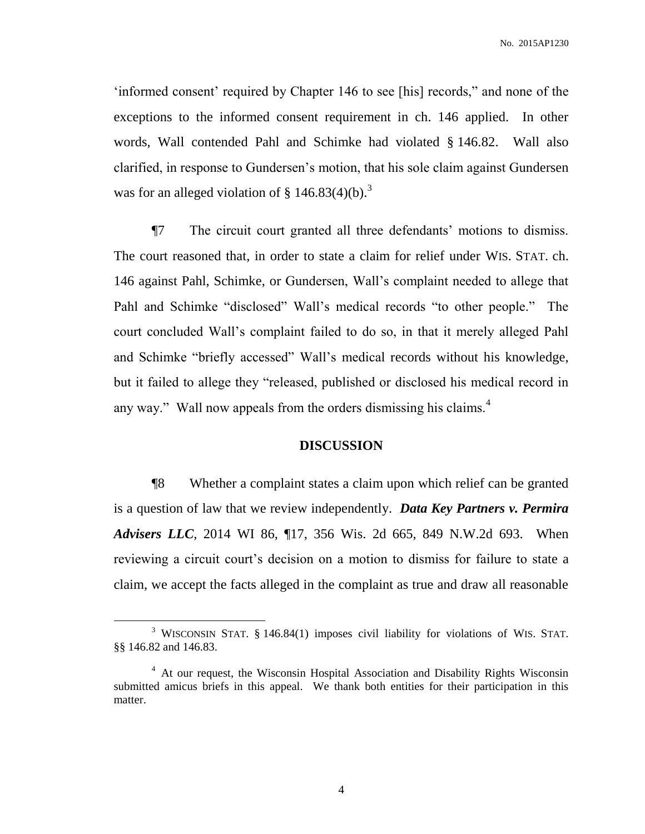'informed consent' required by Chapter 146 to see [his] records," and none of the exceptions to the informed consent requirement in ch. 146 applied. In other words, Wall contended Pahl and Schimke had violated § 146.82. Wall also clarified, in response to Gundersen's motion, that his sole claim against Gundersen was for an alleged violation of  $\S$  146.83(4)(b).<sup>3</sup>

¶7 The circuit court granted all three defendants' motions to dismiss. The court reasoned that, in order to state a claim for relief under WIS. STAT. ch. 146 against Pahl, Schimke, or Gundersen, Wall's complaint needed to allege that Pahl and Schimke "disclosed" Wall's medical records "to other people." The court concluded Wall's complaint failed to do so, in that it merely alleged Pahl and Schimke "briefly accessed" Wall's medical records without his knowledge, but it failed to allege they "released, published or disclosed his medical record in any way." Wall now appeals from the orders dismissing his claims. $4$ 

#### **DISCUSSION**

¶8 Whether a complaint states a claim upon which relief can be granted is a question of law that we review independently. *Data Key Partners v. Permira Advisers LLC*, 2014 WI 86, ¶17, 356 Wis. 2d 665, 849 N.W.2d 693. When reviewing a circuit court's decision on a motion to dismiss for failure to state a claim, we accept the facts alleged in the complaint as true and draw all reasonable

 $\overline{a}$ 

<sup>&</sup>lt;sup>3</sup> WISCONSIN STAT. § 146.84(1) imposes civil liability for violations of WIS. STAT. §§ 146.82 and 146.83.

<sup>&</sup>lt;sup>4</sup> At our request, the Wisconsin Hospital Association and Disability Rights Wisconsin submitted amicus briefs in this appeal. We thank both entities for their participation in this matter.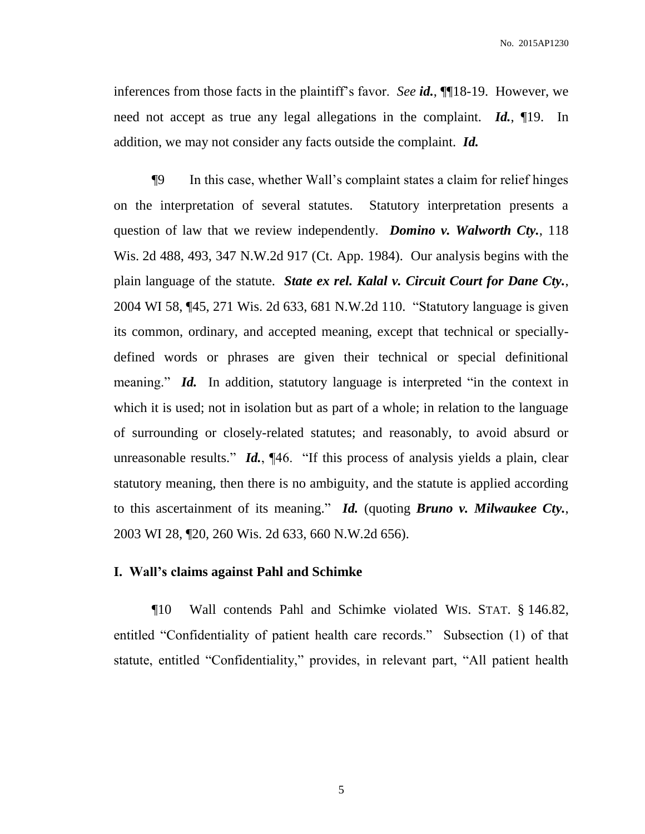inferences from those facts in the plaintiff's favor. *See id.*, ¶¶18-19. However, we need not accept as true any legal allegations in the complaint. *Id.*, ¶19. In addition, we may not consider any facts outside the complaint. *Id.*

¶9 In this case, whether Wall's complaint states a claim for relief hinges on the interpretation of several statutes. Statutory interpretation presents a question of law that we review independently. *Domino v. Walworth Cty.*, 118 Wis. 2d 488, 493, 347 N.W.2d 917 (Ct. App. 1984). Our analysis begins with the plain language of the statute. *State ex rel. Kalal v. Circuit Court for Dane Cty.*, 2004 WI 58, ¶45, 271 Wis. 2d 633, 681 N.W.2d 110. "Statutory language is given its common, ordinary, and accepted meaning, except that technical or speciallydefined words or phrases are given their technical or special definitional meaning." *Id.* In addition, statutory language is interpreted "in the context in which it is used; not in isolation but as part of a whole; in relation to the language of surrounding or closely-related statutes; and reasonably, to avoid absurd or unreasonable results." *Id.*, ¶46. "If this process of analysis yields a plain, clear statutory meaning, then there is no ambiguity, and the statute is applied according to this ascertainment of its meaning." *Id.* (quoting *Bruno v. Milwaukee Cty.*, 2003 WI 28, ¶20, 260 Wis. 2d 633, 660 N.W.2d 656).

#### **I. Wall's claims against Pahl and Schimke**

¶10 Wall contends Pahl and Schimke violated WIS. STAT. § 146.82, entitled "Confidentiality of patient health care records." Subsection (1) of that statute, entitled "Confidentiality," provides, in relevant part, "All patient health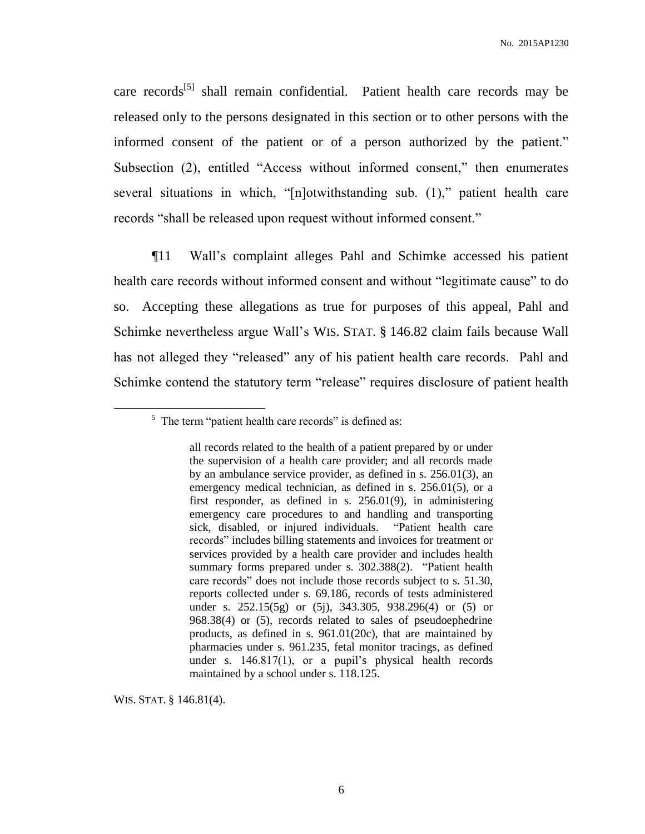care records<sup>[5]</sup> shall remain confidential. Patient health care records may be released only to the persons designated in this section or to other persons with the informed consent of the patient or of a person authorized by the patient." Subsection (2), entitled "Access without informed consent," then enumerates several situations in which, "[n]otwithstanding sub. (1)," patient health care records "shall be released upon request without informed consent."

¶11 Wall's complaint alleges Pahl and Schimke accessed his patient health care records without informed consent and without "legitimate cause" to do so. Accepting these allegations as true for purposes of this appeal, Pahl and Schimke nevertheless argue Wall's WIS. STAT. § 146.82 claim fails because Wall has not alleged they "released" any of his patient health care records. Pahl and Schimke contend the statutory term "release" requires disclosure of patient health

WIS. STAT. § 146.81(4).

 $5$  The term "patient health care records" is defined as:

all records related to the health of a patient prepared by or under the supervision of a health care provider; and all records made by an ambulance service provider, as defined in s. 256.01(3), an emergency medical technician, as defined in s. 256.01(5), or a first responder, as defined in s. 256.01(9), in administering emergency care procedures to and handling and transporting sick, disabled, or injured individuals. "Patient health care records" includes billing statements and invoices for treatment or services provided by a health care provider and includes health summary forms prepared under s. 302.388(2). "Patient health care records" does not include those records subject to s. 51.30, reports collected under s. 69.186, records of tests administered under s. 252.15(5g) or (5j), 343.305, 938.296(4) or (5) or 968.38(4) or (5), records related to sales of pseudoephedrine products, as defined in s. 961.01(20c), that are maintained by pharmacies under s. 961.235, fetal monitor tracings, as defined under s. 146.817(1), or a pupil's physical health records maintained by a school under s. 118.125.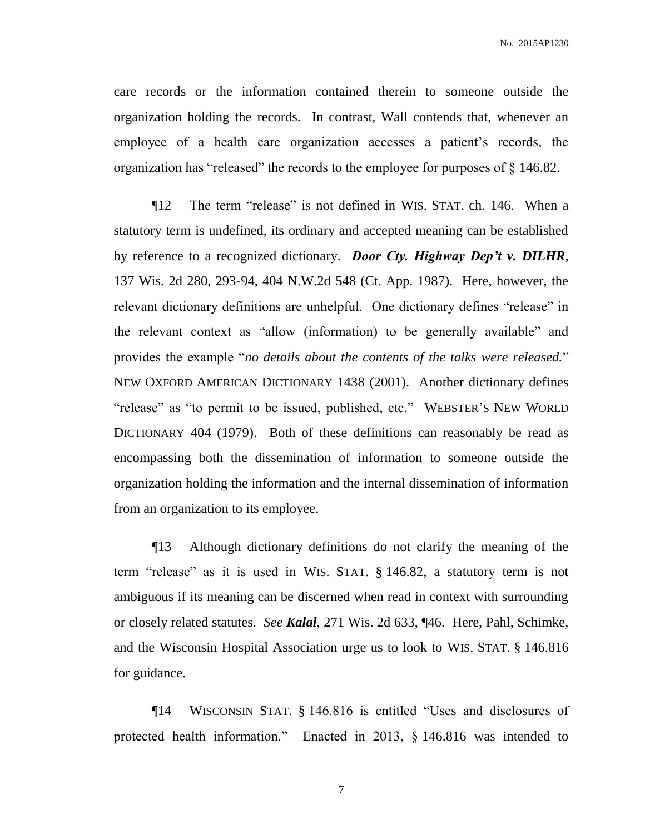care records or the information contained therein to someone outside the organization holding the records. In contrast, Wall contends that, whenever an employee of a health care organization accesses a patient's records, the organization has "released" the records to the employee for purposes of § 146.82.

¶12 The term "release" is not defined in WIS. STAT. ch. 146. When a statutory term is undefined, its ordinary and accepted meaning can be established by reference to a recognized dictionary. *Door Cty. Highway Dep't v. DILHR*, 137 Wis. 2d 280, 293-94, 404 N.W.2d 548 (Ct. App. 1987). Here, however, the relevant dictionary definitions are unhelpful. One dictionary defines "release" in the relevant context as "allow (information) to be generally available" and provides the example "*no details about the contents of the talks were released.*" NEW OXFORD AMERICAN DICTIONARY 1438 (2001). Another dictionary defines "release" as "to permit to be issued, published, etc." WEBSTER'S NEW WORLD DICTIONARY 404 (1979). Both of these definitions can reasonably be read as encompassing both the dissemination of information to someone outside the organization holding the information and the internal dissemination of information from an organization to its employee.

¶13 Although dictionary definitions do not clarify the meaning of the term "release" as it is used in WIS. STAT. § 146.82, a statutory term is not ambiguous if its meaning can be discerned when read in context with surrounding or closely related statutes. *See Kalal*, 271 Wis. 2d 633, ¶46. Here, Pahl, Schimke, and the Wisconsin Hospital Association urge us to look to WIS. STAT. § 146.816 for guidance.

¶14 WISCONSIN STAT. § 146.816 is entitled "Uses and disclosures of protected health information." Enacted in 2013, § 146.816 was intended to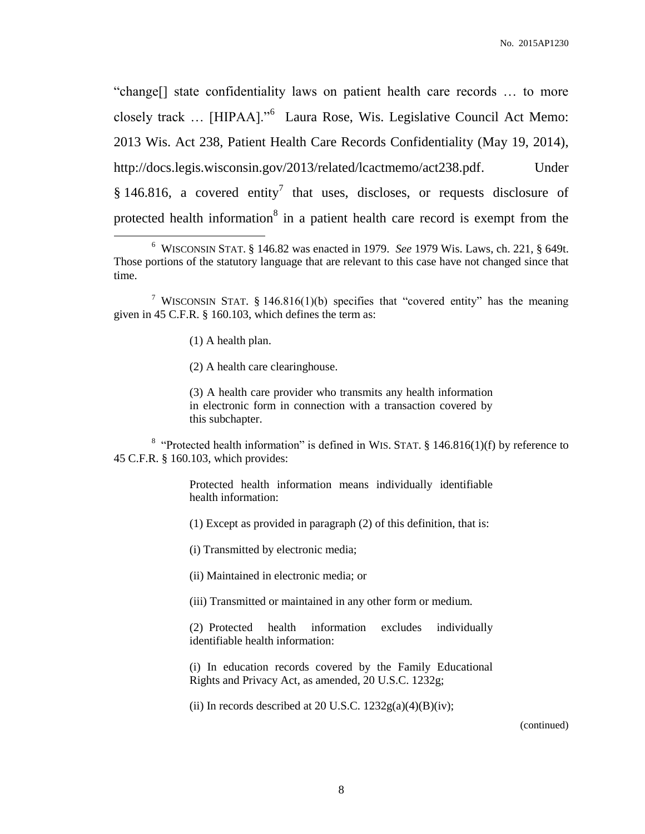"change[] state confidentiality laws on patient health care records … to more closely track … [HIPAA]."<sup>6</sup> Laura Rose, Wis. Legislative Council Act Memo: 2013 Wis. Act 238, Patient Health Care Records Confidentiality (May 19, 2014), http://docs.legis.wisconsin.gov/2013/related/lcactmemo/act238.pdf. Under § 146.816, a covered entity<sup>7</sup> that uses, discloses, or requests disclosure of protected health information<sup>8</sup> in a patient health care record is exempt from the

(1) A health plan.

 $\overline{a}$ 

(2) A health care clearinghouse.

(3) A health care provider who transmits any health information in electronic form in connection with a transaction covered by this subchapter.

<sup>8</sup> "Protected health information" is defined in WIS. STAT. § 146.816(1)(f) by reference to 45 C.F.R. § 160.103, which provides:

> Protected health information means individually identifiable health information:

(1) Except as provided in paragraph (2) of this definition, that is:

(i) Transmitted by electronic media;

(ii) Maintained in electronic media; or

(iii) Transmitted or maintained in any other form or medium.

(2) Protected health information excludes individually identifiable health information:

(i) In education records covered by the Family Educational Rights and Privacy Act, as amended, 20 U.S.C. 1232g;

(ii) In records described at 20 U.S.C.  $1232g(a)(4)(B)(iv)$ ;

(continued)

<sup>6</sup> WISCONSIN STAT. § 146.82 was enacted in 1979. *See* 1979 Wis. Laws, ch. 221, § 649t. Those portions of the statutory language that are relevant to this case have not changed since that time.

<sup>&</sup>lt;sup>7</sup> WISCONSIN STAT. § 146.816(1)(b) specifies that "covered entity" has the meaning given in 45 C.F.R. § 160.103, which defines the term as: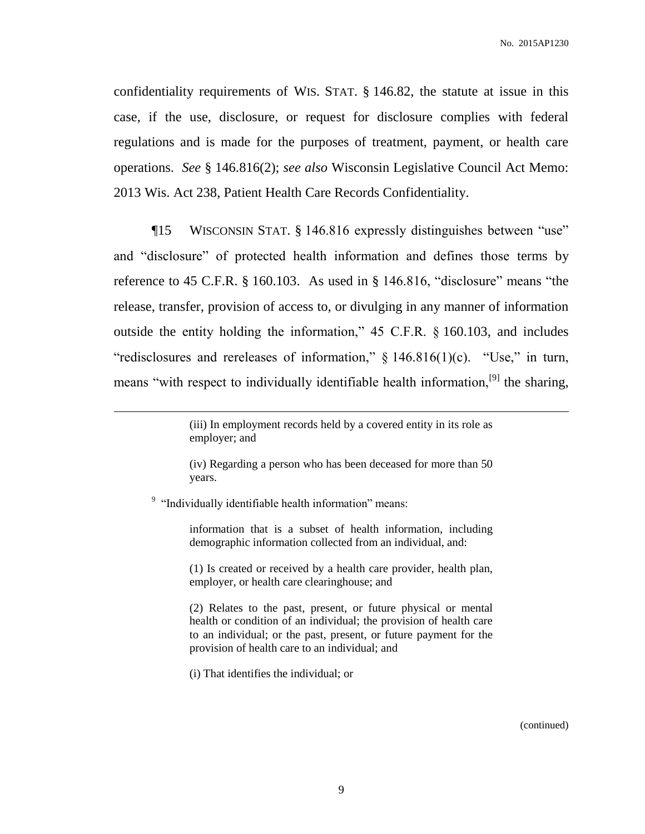confidentiality requirements of WIS. STAT. § 146.82, the statute at issue in this case, if the use, disclosure, or request for disclosure complies with federal regulations and is made for the purposes of treatment, payment, or health care operations. *See* § 146.816(2); *see also* Wisconsin Legislative Council Act Memo: 2013 Wis. Act 238, Patient Health Care Records Confidentiality.

¶15 WISCONSIN STAT. § 146.816 expressly distinguishes between "use" and "disclosure" of protected health information and defines those terms by reference to 45 C.F.R. § 160.103. As used in § 146.816, "disclosure" means "the release, transfer, provision of access to, or divulging in any manner of information outside the entity holding the information," 45 C.F.R. § 160.103, and includes "redisclosures and rereleases of information,"  $\S$  146.816(1)(c). "Use," in turn, means "with respect to individually identifiable health information,<sup>[9]</sup> the sharing,

<sup>9</sup> "Individually identifiable health information" means:

 $\overline{a}$ 

information that is a subset of health information, including demographic information collected from an individual, and:

(1) Is created or received by a health care provider, health plan, employer, or health care clearinghouse; and

(2) Relates to the past, present, or future physical or mental health or condition of an individual; the provision of health care to an individual; or the past, present, or future payment for the provision of health care to an individual; and

(i) That identifies the individual; or

(continued)

<sup>(</sup>iii) In employment records held by a covered entity in its role as employer; and

<sup>(</sup>iv) Regarding a person who has been deceased for more than 50 years.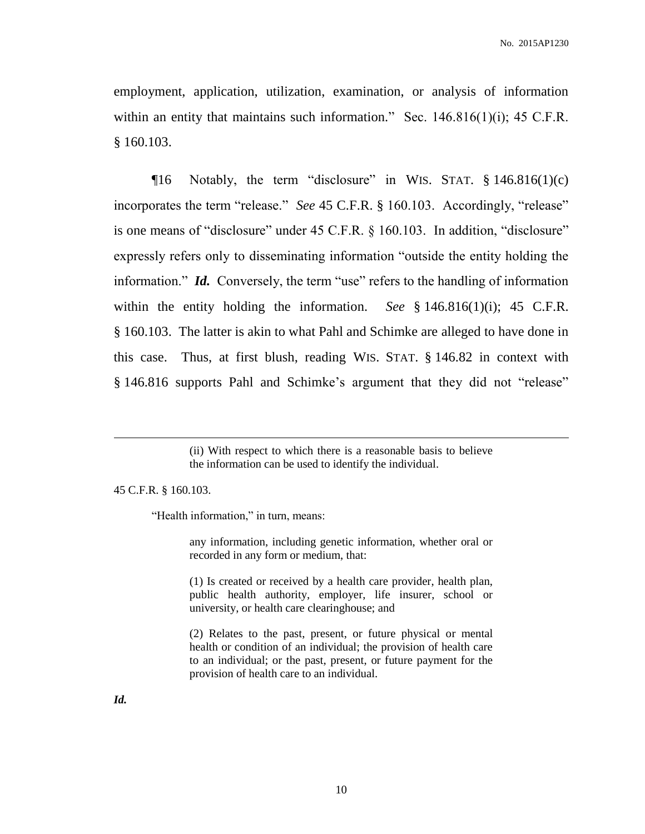employment, application, utilization, examination, or analysis of information within an entity that maintains such information." Sec. 146.816(1)(i); 45 C.F.R.  $§ 160.103.$ 

 $\P$ 16 Notably, the term "disclosure" in WIS. STAT. § 146.816(1)(c) incorporates the term "release." *See* 45 C.F.R. § 160.103. Accordingly, "release" is one means of "disclosure" under 45 C.F.R. § 160.103. In addition, "disclosure" expressly refers only to disseminating information "outside the entity holding the information." *Id.* Conversely, the term "use" refers to the handling of information within the entity holding the information. *See* § 146.816(1)(i); 45 C.F.R. § 160.103. The latter is akin to what Pahl and Schimke are alleged to have done in this case. Thus, at first blush, reading WIS. STAT. § 146.82 in context with § 146.816 supports Pahl and Schimke's argument that they did not "release"

45 C.F.R. § 160.103.

"Health information," in turn, means:

any information, including genetic information, whether oral or recorded in any form or medium, that:

(1) Is created or received by a health care provider, health plan, public health authority, employer, life insurer, school or university, or health care clearinghouse; and

(2) Relates to the past, present, or future physical or mental health or condition of an individual; the provision of health care to an individual; or the past, present, or future payment for the provision of health care to an individual.

*Id.*

<sup>(</sup>ii) With respect to which there is a reasonable basis to believe the information can be used to identify the individual.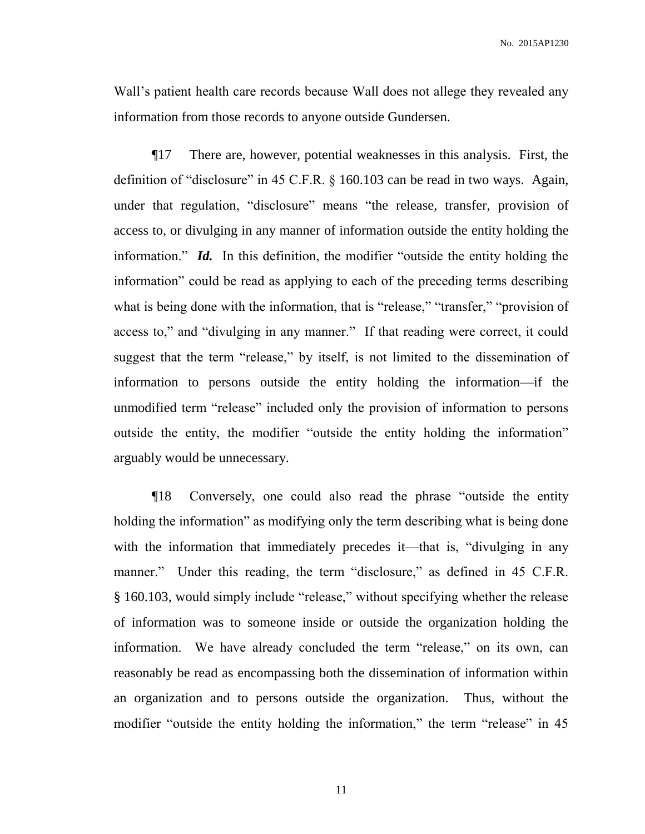Wall's patient health care records because Wall does not allege they revealed any information from those records to anyone outside Gundersen.

¶17 There are, however, potential weaknesses in this analysis. First, the definition of "disclosure" in 45 C.F.R. § 160.103 can be read in two ways. Again, under that regulation, "disclosure" means "the release, transfer, provision of access to, or divulging in any manner of information outside the entity holding the information." *Id.* In this definition, the modifier "outside the entity holding the information" could be read as applying to each of the preceding terms describing what is being done with the information, that is "release," "transfer," "provision of access to," and "divulging in any manner." If that reading were correct, it could suggest that the term "release," by itself, is not limited to the dissemination of information to persons outside the entity holding the information—if the unmodified term "release" included only the provision of information to persons outside the entity, the modifier "outside the entity holding the information" arguably would be unnecessary.

¶18 Conversely, one could also read the phrase "outside the entity holding the information" as modifying only the term describing what is being done with the information that immediately precedes it—that is, "divulging in any manner." Under this reading, the term "disclosure," as defined in 45 C.F.R. § 160.103, would simply include "release," without specifying whether the release of information was to someone inside or outside the organization holding the information. We have already concluded the term "release," on its own, can reasonably be read as encompassing both the dissemination of information within an organization and to persons outside the organization. Thus, without the modifier "outside the entity holding the information," the term "release" in 45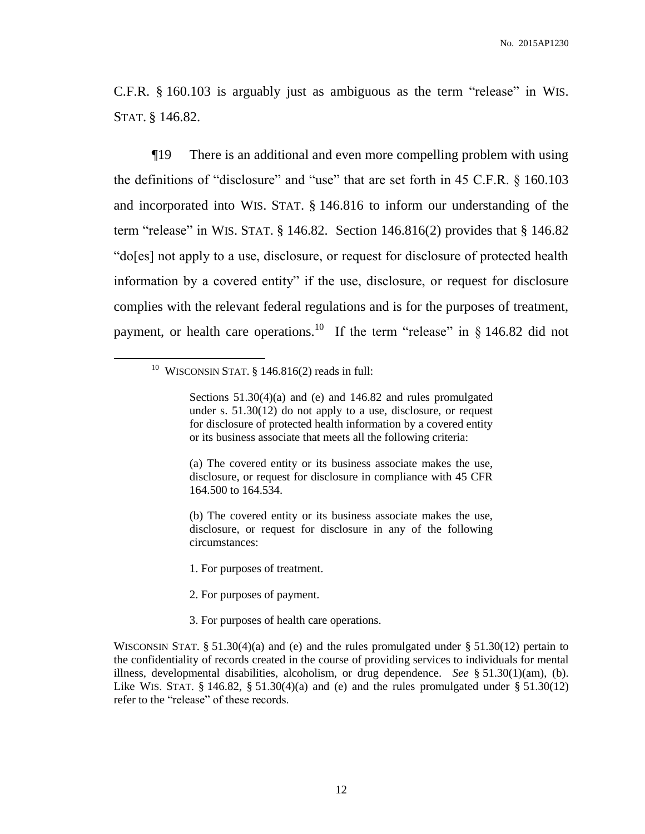C.F.R. § 160.103 is arguably just as ambiguous as the term "release" in WIS. STAT. § 146.82.

¶19 There is an additional and even more compelling problem with using the definitions of "disclosure" and "use" that are set forth in 45 C.F.R. § 160.103 and incorporated into WIS. STAT. § 146.816 to inform our understanding of the term "release" in WIS. STAT.  $\S$  146.82. Section 146.816(2) provides that  $\S$  146.82 "do[es] not apply to a use, disclosure, or request for disclosure of protected health information by a covered entity" if the use, disclosure, or request for disclosure complies with the relevant federal regulations and is for the purposes of treatment, payment, or health care operations.<sup>10</sup> If the term "release" in  $\S$  146.82 did not

 $10$  WISCONSIN STAT. § 146.816(2) reads in full:

 $\overline{a}$ 

(a) The covered entity or its business associate makes the use, disclosure, or request for disclosure in compliance with 45 CFR 164.500 to 164.534.

(b) The covered entity or its business associate makes the use, disclosure, or request for disclosure in any of the following circumstances:

- 1. For purposes of treatment.
- 2. For purposes of payment.
- 3. For purposes of health care operations.

Sections 51.30(4)(a) and (e) and 146.82 and rules promulgated under s. 51.30(12) do not apply to a use, disclosure, or request for disclosure of protected health information by a covered entity or its business associate that meets all the following criteria:

WISCONSIN STAT. § 51.30(4)(a) and (e) and the rules promulgated under § 51.30(12) pertain to the confidentiality of records created in the course of providing services to individuals for mental illness, developmental disabilities, alcoholism, or drug dependence. *See* § 51.30(1)(am), (b). Like WIS. STAT.  $\S$  146.82,  $\S$  51.30(4)(a) and (e) and the rules promulgated under  $\S$  51.30(12) refer to the "release" of these records.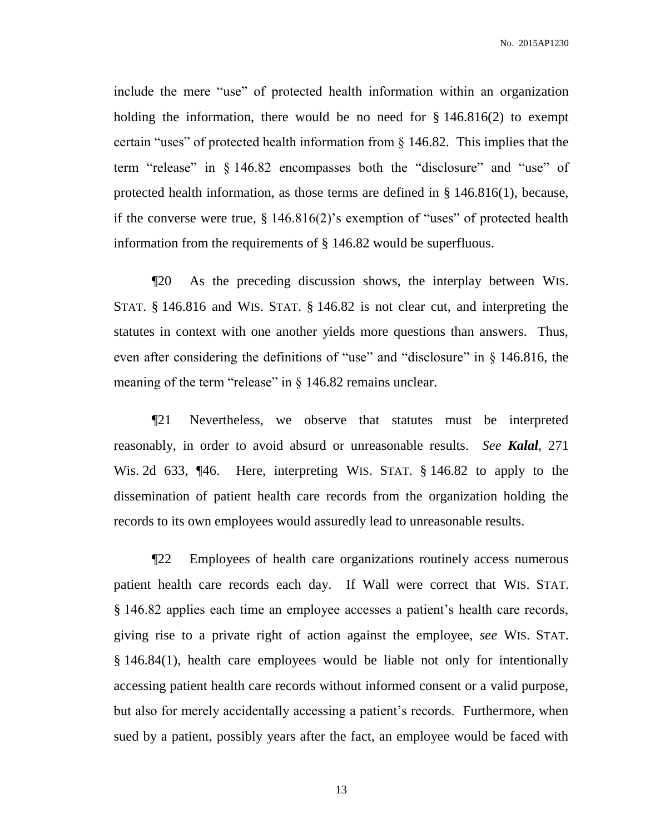include the mere "use" of protected health information within an organization holding the information, there would be no need for  $\S 146.816(2)$  to exempt certain "uses" of protected health information from § 146.82. This implies that the term "release" in § 146.82 encompasses both the "disclosure" and "use" of protected health information, as those terms are defined in § 146.816(1), because, if the converse were true, § 146.816(2)'s exemption of "uses" of protected health information from the requirements of § 146.82 would be superfluous.

¶20 As the preceding discussion shows, the interplay between WIS. STAT. § 146.816 and WIS. STAT. § 146.82 is not clear cut, and interpreting the statutes in context with one another yields more questions than answers. Thus, even after considering the definitions of "use" and "disclosure" in § 146.816, the meaning of the term "release" in § 146.82 remains unclear.

¶21 Nevertheless, we observe that statutes must be interpreted reasonably, in order to avoid absurd or unreasonable results. *See Kalal*, 271 Wis. 2d 633, ¶46. Here, interpreting WIS. STAT. § 146.82 to apply to the dissemination of patient health care records from the organization holding the records to its own employees would assuredly lead to unreasonable results.

¶22 Employees of health care organizations routinely access numerous patient health care records each day. If Wall were correct that WIS. STAT. § 146.82 applies each time an employee accesses a patient's health care records, giving rise to a private right of action against the employee, *see* WIS. STAT. § 146.84(1), health care employees would be liable not only for intentionally accessing patient health care records without informed consent or a valid purpose, but also for merely accidentally accessing a patient's records. Furthermore, when sued by a patient, possibly years after the fact, an employee would be faced with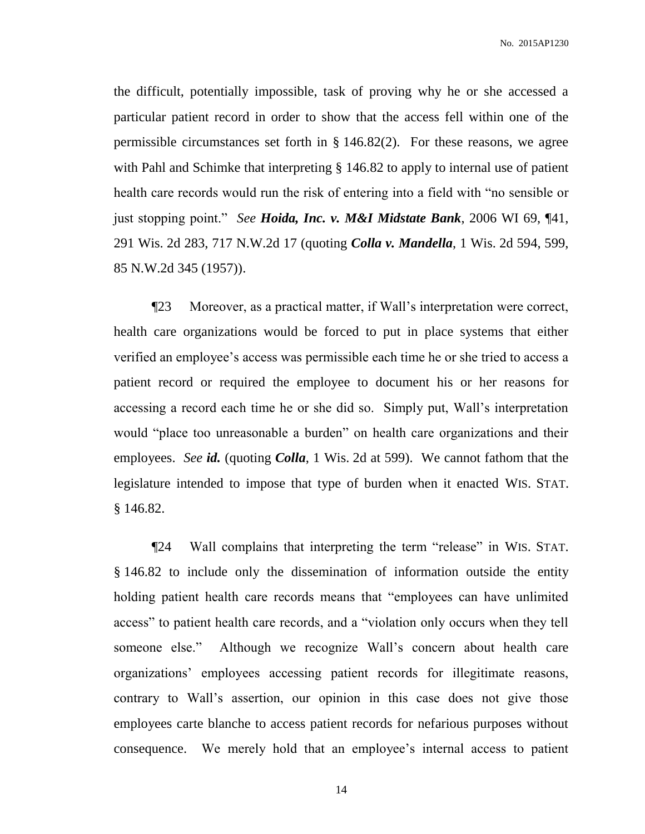the difficult, potentially impossible, task of proving why he or she accessed a particular patient record in order to show that the access fell within one of the permissible circumstances set forth in § 146.82(2). For these reasons, we agree with Pahl and Schimke that interpreting  $\S$  146.82 to apply to internal use of patient health care records would run the risk of entering into a field with "no sensible or just stopping point." *See Hoida, Inc. v. M&I Midstate Bank*, 2006 WI 69, ¶41, 291 Wis. 2d 283, 717 N.W.2d 17 (quoting *Colla v. Mandella*, 1 Wis. 2d 594, 599, 85 N.W.2d 345 (1957)).

¶23 Moreover, as a practical matter, if Wall's interpretation were correct, health care organizations would be forced to put in place systems that either verified an employee's access was permissible each time he or she tried to access a patient record or required the employee to document his or her reasons for accessing a record each time he or she did so. Simply put, Wall's interpretation would "place too unreasonable a burden" on health care organizations and their employees. *See id.* (quoting *Colla*, 1 Wis. 2d at 599). We cannot fathom that the legislature intended to impose that type of burden when it enacted WIS. STAT. § 146.82.

¶24 Wall complains that interpreting the term "release" in WIS. STAT. § 146.82 to include only the dissemination of information outside the entity holding patient health care records means that "employees can have unlimited access" to patient health care records, and a "violation only occurs when they tell someone else." Although we recognize Wall's concern about health care organizations' employees accessing patient records for illegitimate reasons, contrary to Wall's assertion, our opinion in this case does not give those employees carte blanche to access patient records for nefarious purposes without consequence. We merely hold that an employee's internal access to patient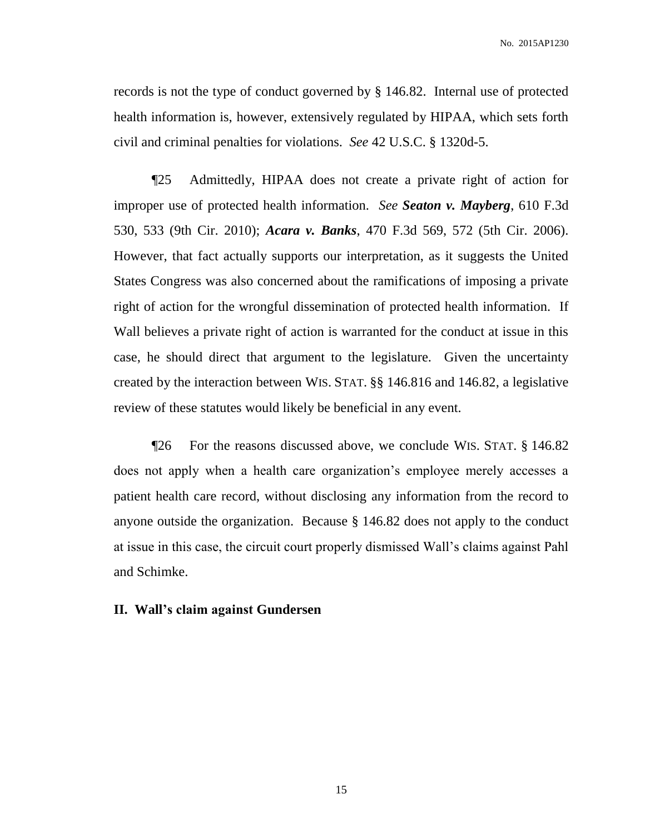records is not the type of conduct governed by § 146.82. Internal use of protected health information is, however, extensively regulated by HIPAA, which sets forth civil and criminal penalties for violations. *See* 42 U.S.C. § 1320d-5.

¶25 Admittedly, HIPAA does not create a private right of action for improper use of protected health information. *See Seaton v. Mayberg*, 610 F.3d 530, 533 (9th Cir. 2010); *Acara v. Banks*, 470 F.3d 569, 572 (5th Cir. 2006). However, that fact actually supports our interpretation, as it suggests the United States Congress was also concerned about the ramifications of imposing a private right of action for the wrongful dissemination of protected health information. If Wall believes a private right of action is warranted for the conduct at issue in this case, he should direct that argument to the legislature. Given the uncertainty created by the interaction between WIS. STAT. §§ 146.816 and 146.82, a legislative review of these statutes would likely be beneficial in any event.

¶26 For the reasons discussed above, we conclude WIS. STAT. § 146.82 does not apply when a health care organization's employee merely accesses a patient health care record, without disclosing any information from the record to anyone outside the organization. Because § 146.82 does not apply to the conduct at issue in this case, the circuit court properly dismissed Wall's claims against Pahl and Schimke.

#### **II. Wall's claim against Gundersen**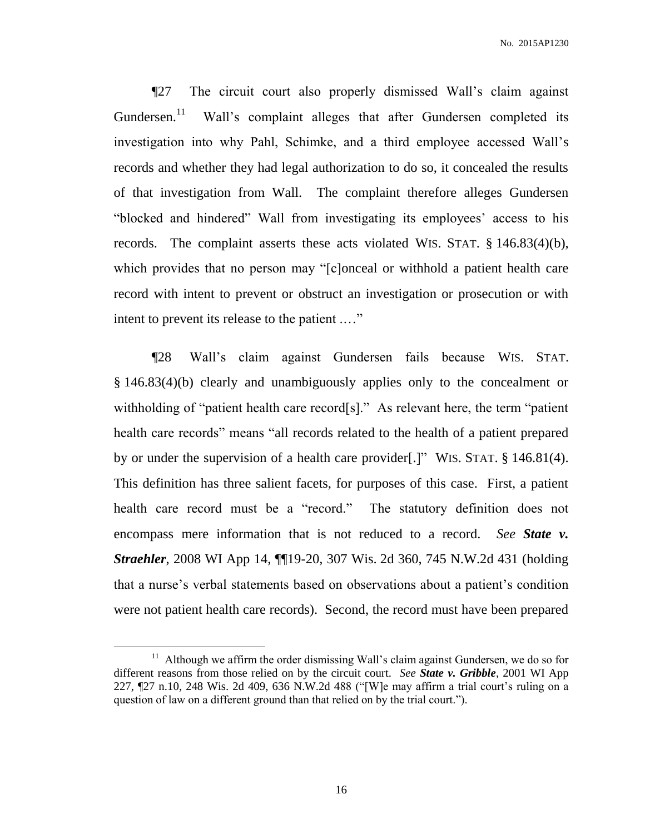¶27 The circuit court also properly dismissed Wall's claim against Gundersen.<sup>11</sup> Wall's complaint alleges that after Gundersen completed its investigation into why Pahl, Schimke, and a third employee accessed Wall's records and whether they had legal authorization to do so, it concealed the results of that investigation from Wall. The complaint therefore alleges Gundersen "blocked and hindered" Wall from investigating its employees' access to his records. The complaint asserts these acts violated WIS. STAT. § 146.83(4)(b), which provides that no person may "[c]onceal or withhold a patient health care record with intent to prevent or obstruct an investigation or prosecution or with intent to prevent its release to the patient .…"

¶28 Wall's claim against Gundersen fails because WIS. STAT. § 146.83(4)(b) clearly and unambiguously applies only to the concealment or withholding of "patient health care record[s]." As relevant here, the term "patient" health care records" means "all records related to the health of a patient prepared by or under the supervision of a health care provider[.]" WIS. STAT. § 146.81(4). This definition has three salient facets, for purposes of this case. First, a patient health care record must be a "record." The statutory definition does not encompass mere information that is not reduced to a record. *See State v. Straehler*, 2008 WI App 14, ¶¶19-20, 307 Wis. 2d 360, 745 N.W.2d 431 (holding that a nurse's verbal statements based on observations about a patient's condition were not patient health care records). Second, the record must have been prepared

 $\overline{a}$ 

<sup>&</sup>lt;sup>11</sup> Although we affirm the order dismissing Wall's claim against Gundersen, we do so for different reasons from those relied on by the circuit court. *See State v. Gribble*, 2001 WI App 227, ¶27 n.10, 248 Wis. 2d 409, 636 N.W.2d 488 ("[W]e may affirm a trial court's ruling on a question of law on a different ground than that relied on by the trial court.").